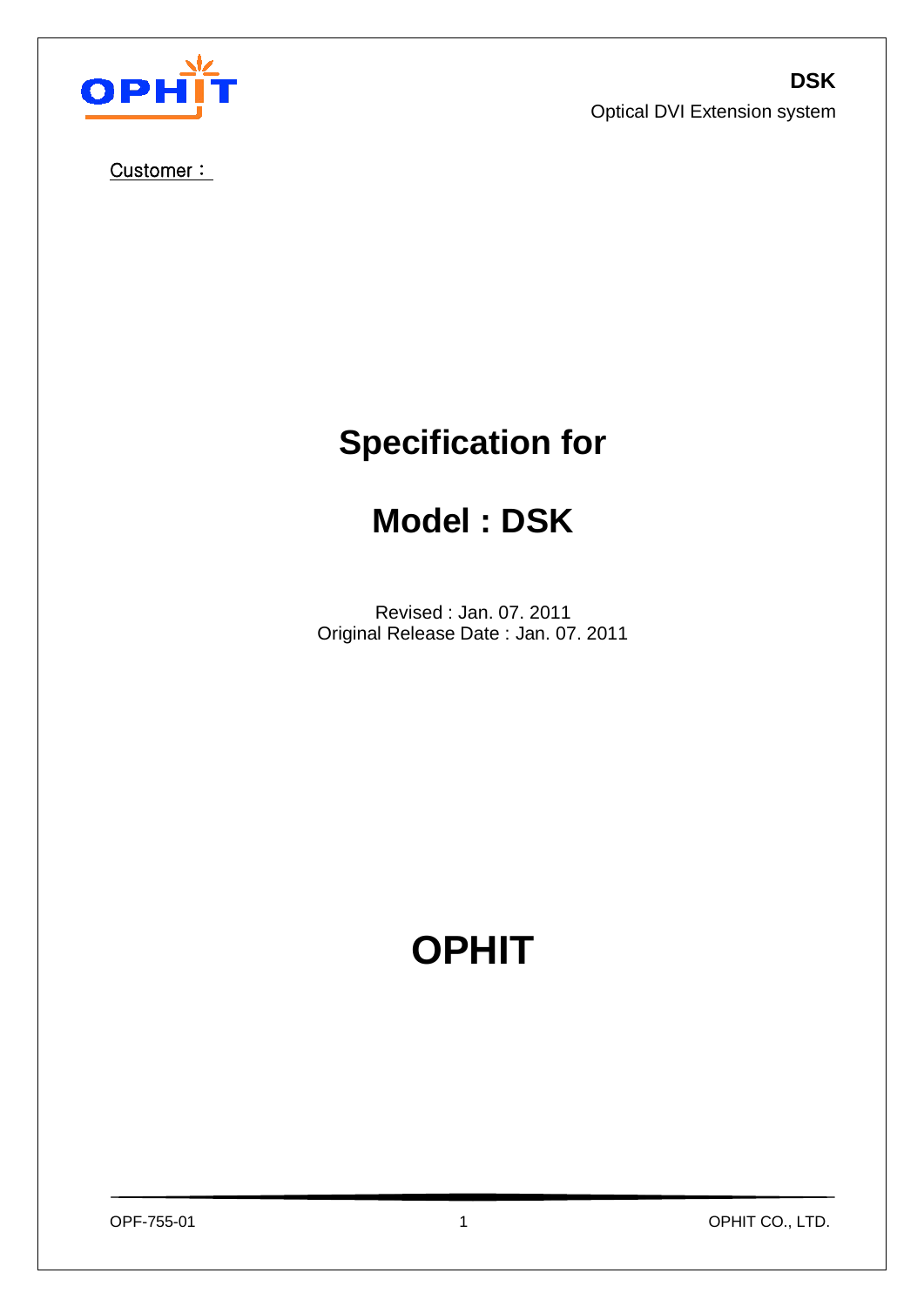



Customer :

# **Specification for**

# **Model : DSK**

Revised : Jan. 07. 2011 Original Release Date : Jan. 07. 2011

# **OPHIT**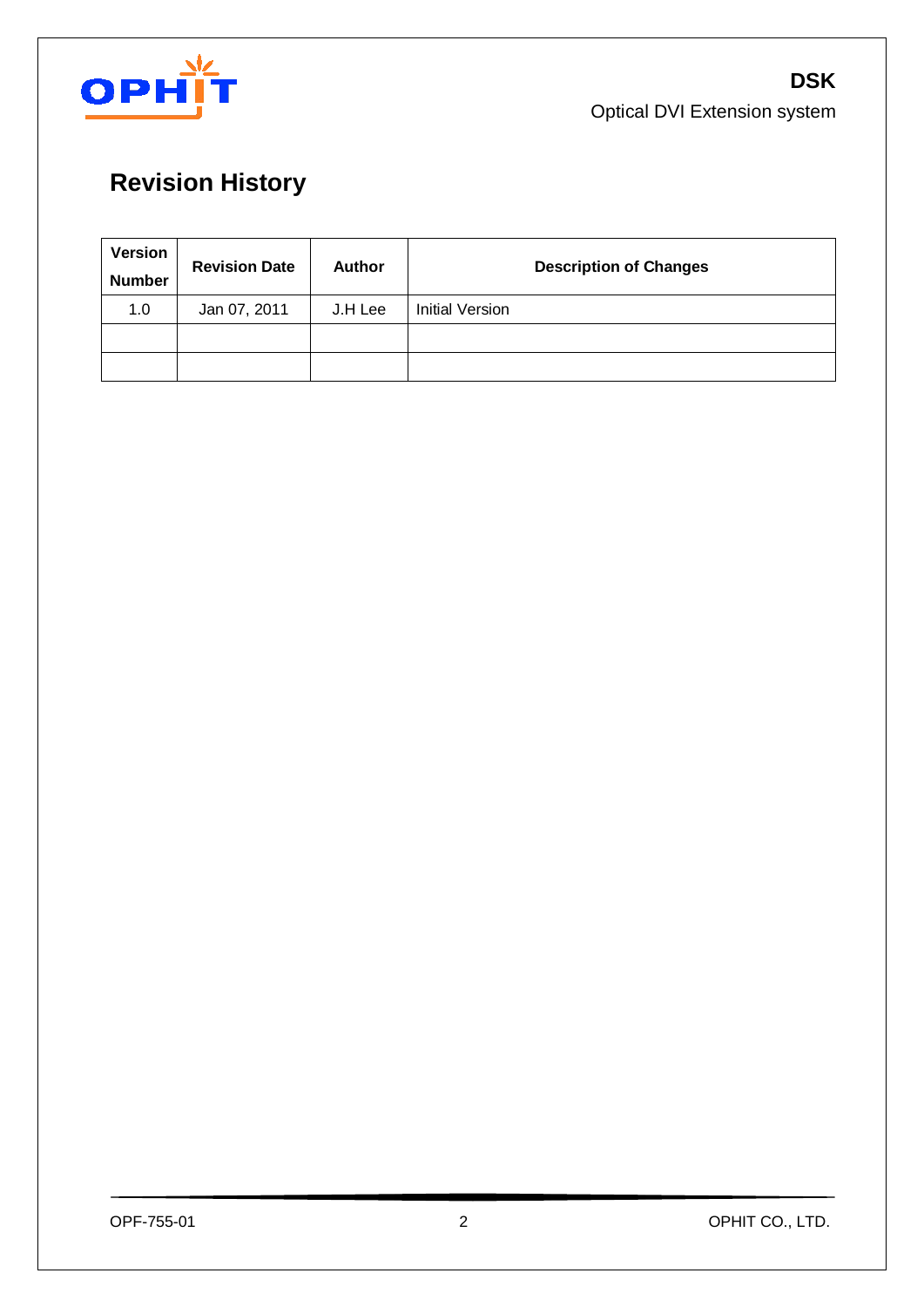

**DSK** Optical DVI Extension system

# **Revision History**

| <b>Version</b><br><b>Number</b> | <b>Revision Date</b> | <b>Author</b> | <b>Description of Changes</b> |
|---------------------------------|----------------------|---------------|-------------------------------|
| 1.0                             | Jan 07, 2011         | J.H Lee       | Initial Version               |
|                                 |                      |               |                               |
|                                 |                      |               |                               |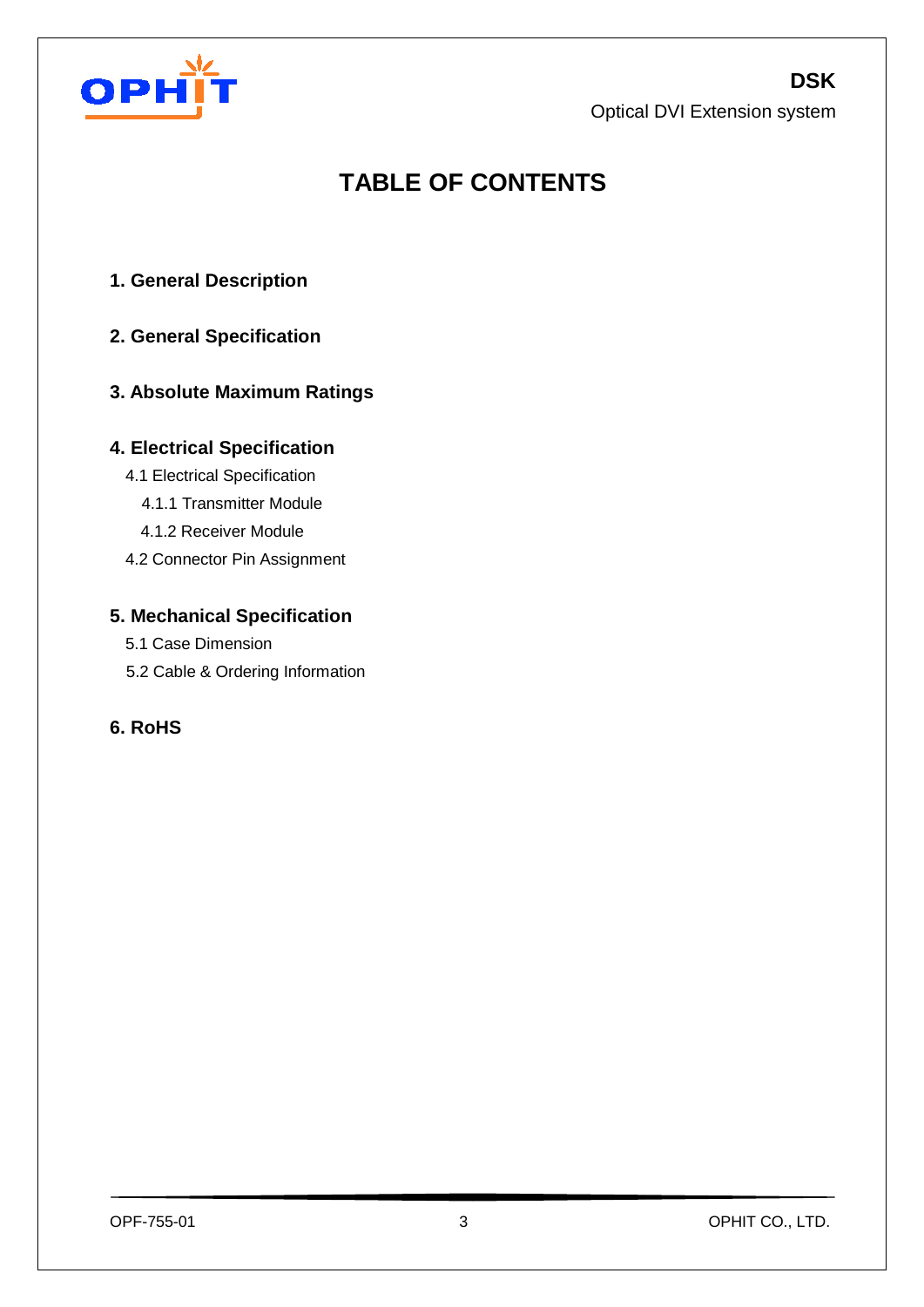## **DSK**

Optical DVI Extension system



## **TABLE OF CONTENTS**

- **1. General Description**
- **2. General Specification**

## **3. Absolute Maximum Ratings**

### **4. Electrical Specification**

- 4.1 Electrical Specification
	- 4.1.1 Transmitter Module
	- 4.1.2 Receiver Module
- 4.2 Connector Pin Assignment

## **5. Mechanical Specification**

- 5.1 Case Dimension
- 5.2 Cable & Ordering Information

## **6. RoHS**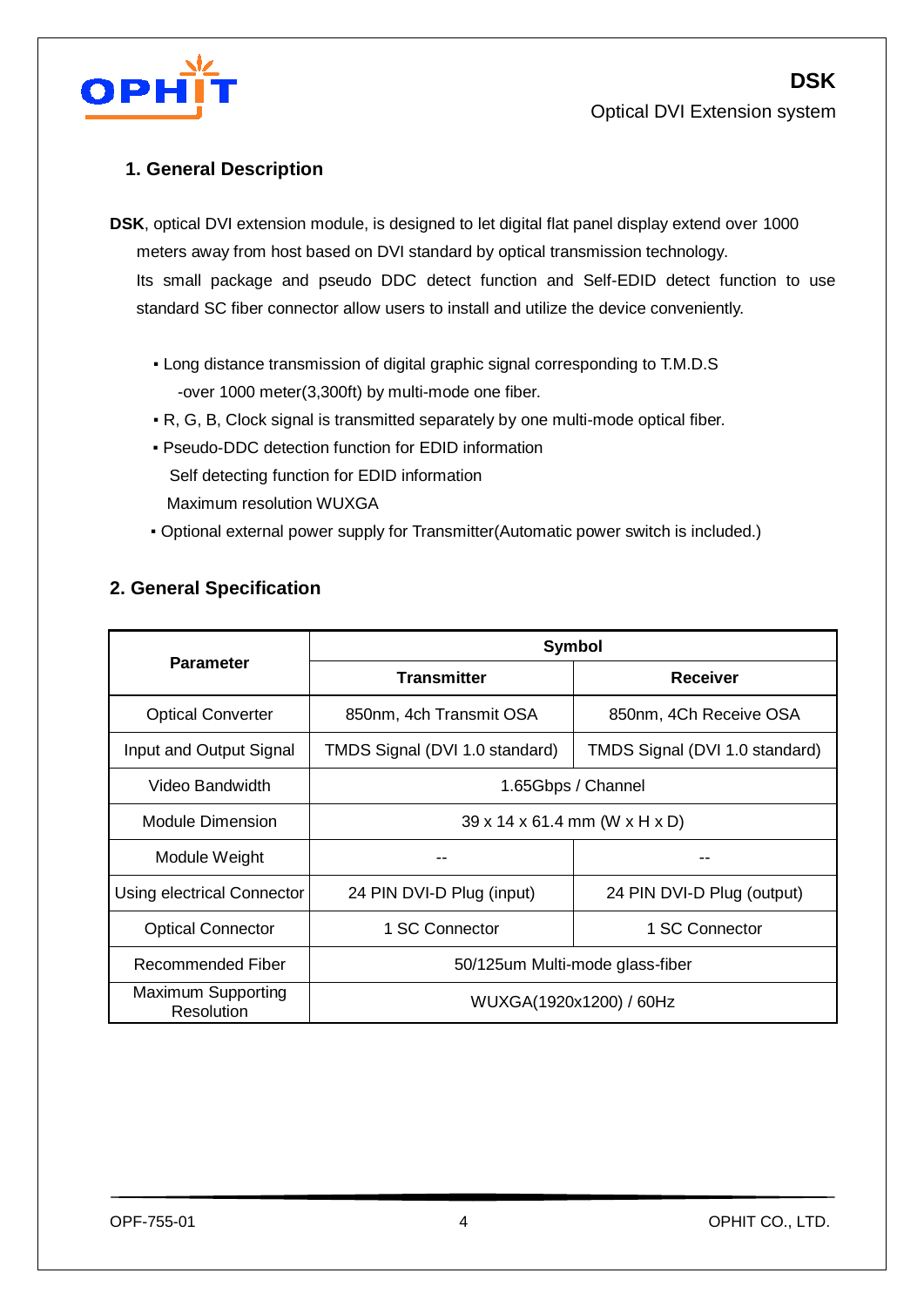

**DSK**

### **1. General Description**

**DSK**, optical DVI extension module, is designed to let digital flat panel display extend over 1000 meters away from host based on DVI standard by optical transmission technology. Its small package and pseudo DDC detect function and Self-EDID detect function to use standard SC fiber connector allow users to install and utilize the device conveniently.

- Long distance transmission of digital graphic signal corresponding to T.M.D.S -over 1000 meter(3,300ft) by multi-mode one fiber.
- R, G, B, Clock signal is transmitted separately by one multi-mode optical fiber.
- Pseudo-DDC detection function for EDID information Self detecting function for EDID information Maximum resolution WUXGA
- Optional external power supply for Transmitter(Automatic power switch is included.)

|                                         | Symbol                                    |                                |  |  |  |  |
|-----------------------------------------|-------------------------------------------|--------------------------------|--|--|--|--|
| <b>Parameter</b>                        | <b>Transmitter</b>                        | <b>Receiver</b>                |  |  |  |  |
| <b>Optical Converter</b>                | 850nm, 4ch Transmit OSA                   | 850nm, 4Ch Receive OSA         |  |  |  |  |
| Input and Output Signal                 | TMDS Signal (DVI 1.0 standard)            | TMDS Signal (DVI 1.0 standard) |  |  |  |  |
| Video Bandwidth                         | 1.65Gbps / Channel                        |                                |  |  |  |  |
| Module Dimension                        | $39 \times 14 \times 61.4$ mm (W x H x D) |                                |  |  |  |  |
| Module Weight                           |                                           |                                |  |  |  |  |
| Using electrical Connector              | 24 PIN DVI-D Plug (input)                 | 24 PIN DVI-D Plug (output)     |  |  |  |  |
| <b>Optical Connector</b>                | 1 SC Connector                            | 1 SC Connector                 |  |  |  |  |
| Recommended Fiber                       | 50/125um Multi-mode glass-fiber           |                                |  |  |  |  |
| <b>Maximum Supporting</b><br>Resolution | WUXGA(1920x1200) / 60Hz                   |                                |  |  |  |  |

### **2. General Specification**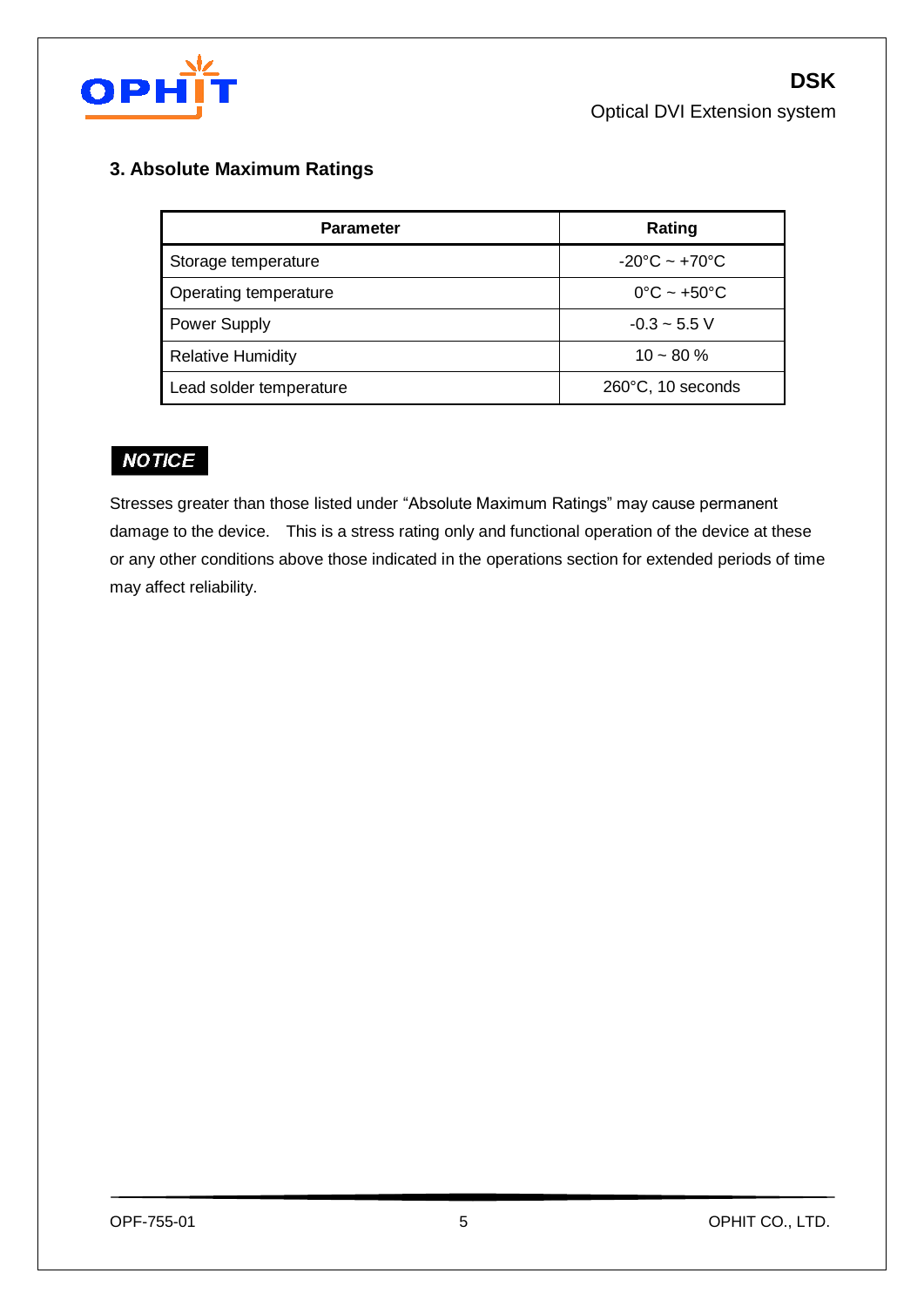

## **3. Absolute Maximum Ratings**

| <b>Parameter</b>         | Rating                            |
|--------------------------|-----------------------------------|
| Storage temperature      | $-20^{\circ}$ C ~ $+70^{\circ}$ C |
| Operating temperature    | $0^{\circ}$ C ~ +50 $^{\circ}$ C  |
| <b>Power Supply</b>      | $-0.3 - 5.5$ V                    |
| <b>Relative Humidity</b> | $10 - 80 %$                       |
| Lead solder temperature  | 260°C, 10 seconds                 |

## **NOTICE**

Stresses greater than those listed under "Absolute Maximum Ratings" may cause permanent damage to the device. This is a stress rating only and functional operation of the device at these or any other conditions above those indicated in the operations section for extended periods of time may affect reliability.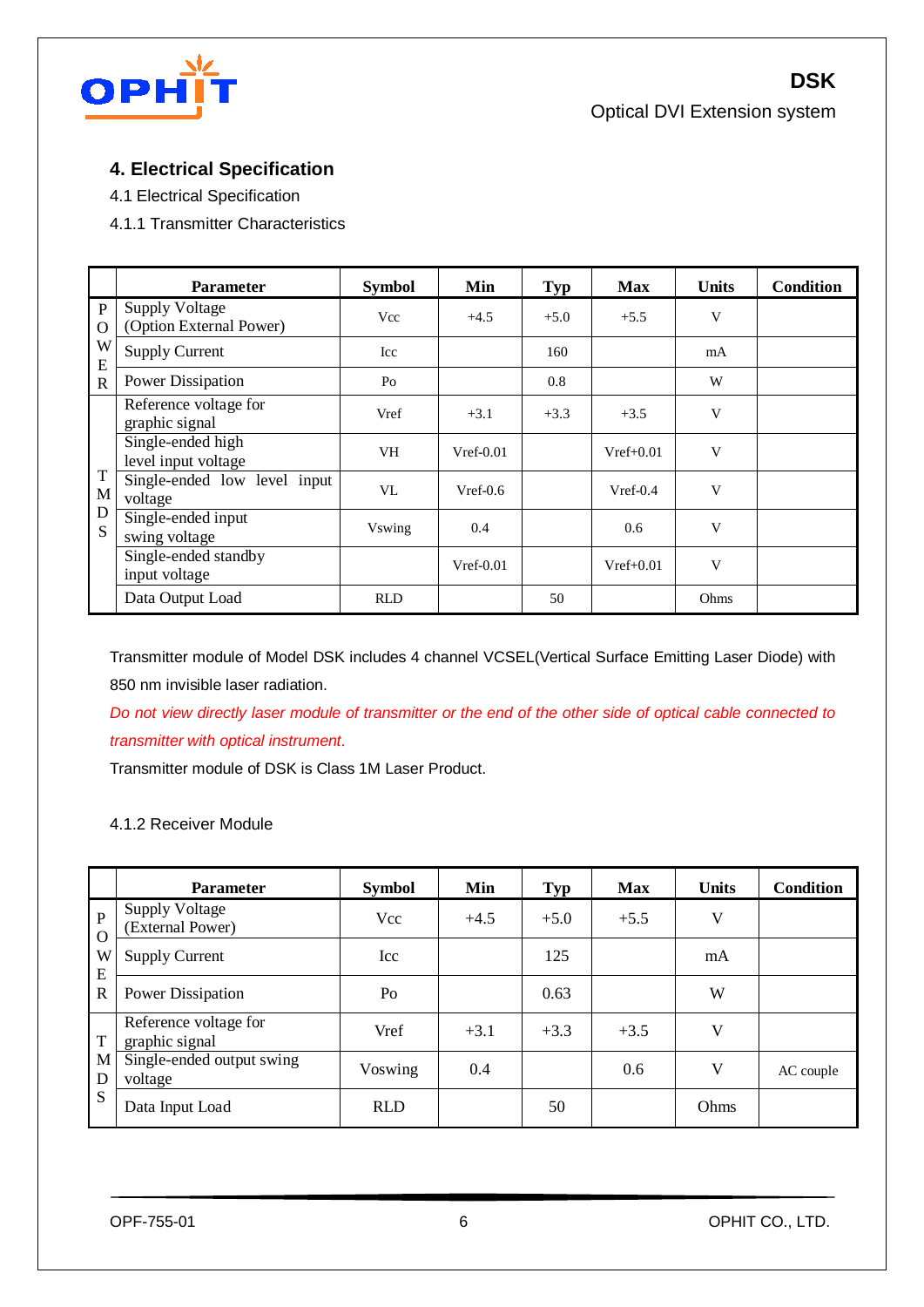

**DSK** Optical DVI Extension system

## **4. Electrical Specification**

- 4.1 Electrical Specification
- 4.1.1 Transmitter Characteristics

|                          | <b>Parameter</b>                                 | <b>Symbol</b> | Min         | <b>Typ</b> | <b>Max</b>  | <b>Units</b> | <b>Condition</b> |
|--------------------------|--------------------------------------------------|---------------|-------------|------------|-------------|--------------|------------------|
| $\mathbf{P}$<br>$\Omega$ | <b>Supply Voltage</b><br>(Option External Power) | Vcc           | $+4.5$      | $+5.0$     | $+5.5$      | V            |                  |
| W<br>E                   | <b>Supply Current</b>                            | Icc           |             | 160        |             | mA           |                  |
| $\mathbf R$              | <b>Power Dissipation</b>                         | Po            |             | 0.8        |             | W            |                  |
| T<br>M<br>D<br>S.        | Reference voltage for<br>graphic signal          | Vref          | $+3.1$      | $+3.3$     | $+3.5$      | V            |                  |
|                          | Single-ended high<br>level input voltage         | <b>VH</b>     | $Vref-0.01$ |            | $Vref+0.01$ | V            |                  |
|                          | Single-ended low level input<br>voltage          | VL            | $Vref-0.6$  |            | $Vref-0.4$  | V            |                  |
|                          | Single-ended input<br>swing voltage              | <b>Vswing</b> | 0.4         |            | 0.6         | V            |                  |
|                          | Single-ended standby<br>input voltage            |               | $Vref-0.01$ |            | $Vref+0.01$ | V            |                  |
|                          | Data Output Load                                 | <b>RLD</b>    |             | 50         |             | Ohms         |                  |

Transmitter module of Model DSK includes 4 channel VCSEL(Vertical Surface Emitting Laser Diode) with 850 nm invisible laser radiation.

*Do not view directly laser module of transmitter or the end of the other side of optical cable connected to transmitter with optical instrument*.

Transmitter module of DSK is Class 1M Laser Product.

#### 4.1.2 Receiver Module

|                          | <b>Parameter</b>                          | <b>Symbol</b> | Min    | <b>Typ</b> | <b>Max</b> | <b>Units</b> | <b>Condition</b> |
|--------------------------|-------------------------------------------|---------------|--------|------------|------------|--------------|------------------|
| $\mathbf{P}$<br>$\Omega$ | <b>Supply Voltage</b><br>(External Power) | Vcc           | $+4.5$ | $+5.0$     | $+5.5$     | V            |                  |
| W<br>E                   | <b>Supply Current</b>                     | Icc           |        | 125        |            | mA           |                  |
| $\mathbb{R}$             | Power Dissipation                         | Po            |        | 0.63       |            | W            |                  |
| T                        | Reference voltage for<br>graphic signal   | Vref          | $+3.1$ | $+3.3$     | $+3.5$     | V            |                  |
| M<br>D                   | Single-ended output swing<br>voltage      | Voswing       | 0.4    |            | 0.6        | V            | AC couple        |
| S                        | Data Input Load                           | <b>RLD</b>    |        | 50         |            | Ohms         |                  |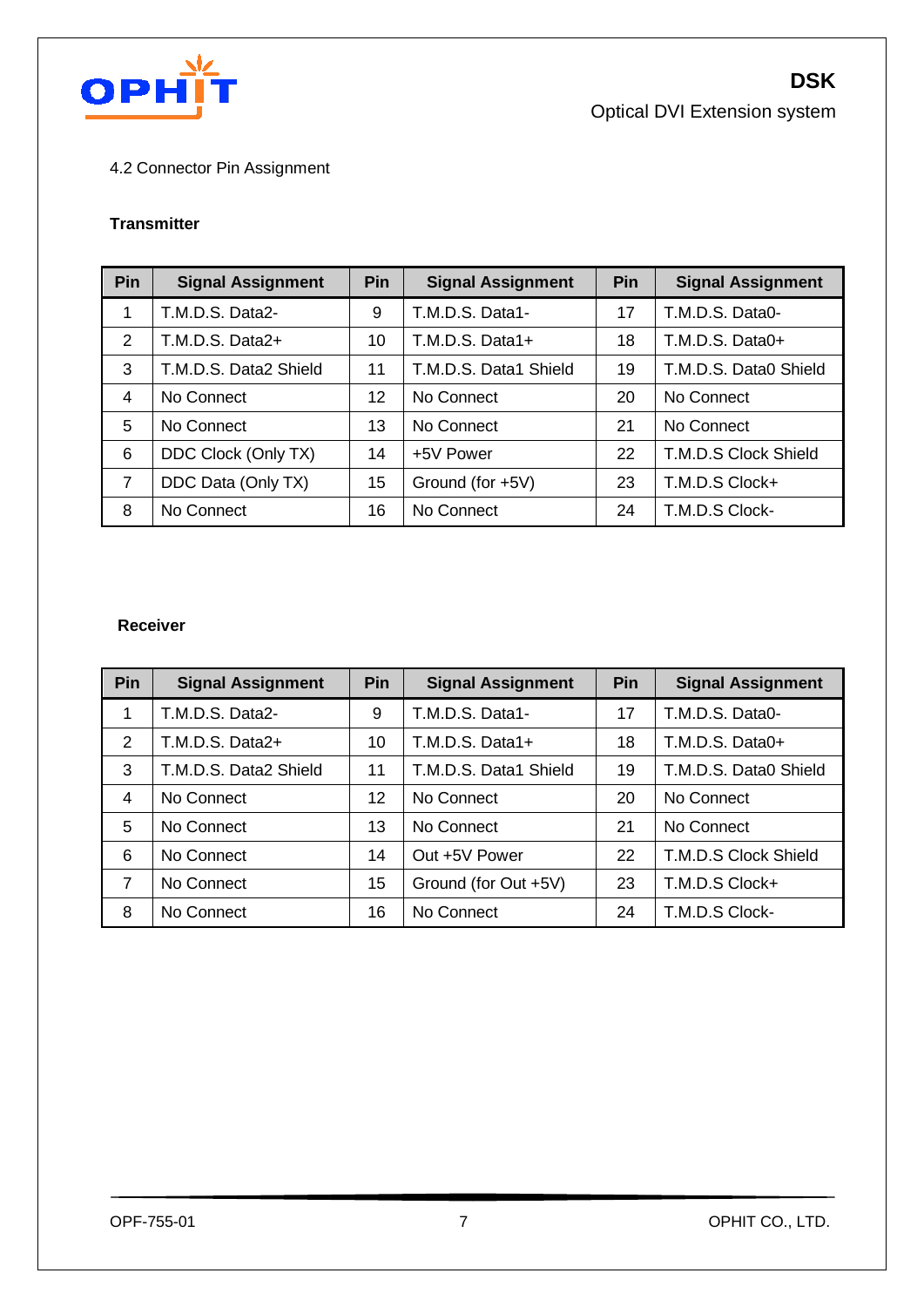

**DSK** Optical DVI Extension system

### 4.2 Connector Pin Assignment

#### **Transmitter**

| Pin            | <b>Signal Assignment</b> | <b>Pin</b> | <b>Signal Assignment</b> | Pin | <b>Signal Assignment</b> |
|----------------|--------------------------|------------|--------------------------|-----|--------------------------|
| 1              | T.M.D.S. Data2-          | 9          | T.M.D.S. Data1-          | 17  | T.M.D.S. Data0-          |
| 2              | T.M.D.S. Data2+          | 10         | T.M.D.S. Data1+          | 18  | T.M.D.S. Data0+          |
| 3              | T.M.D.S. Data2 Shield    | 11         | T.M.D.S. Data1 Shield    | 19  | T.M.D.S. Data0 Shield    |
| 4              | No Connect               | 12         | No Connect               | 20  | No Connect               |
| 5              | No Connect               | 13         | No Connect               | 21  | No Connect               |
| 6              | DDC Clock (Only TX)      | 14         | +5V Power                | 22  | T.M.D.S Clock Shield     |
| $\overline{7}$ | DDC Data (Only TX)       | 15         | Ground (for +5V)         | 23  | T.M.D.S Clock+           |
| 8              | No Connect               | 16         | No Connect               | 24  | T.M.D.S Clock-           |

#### **Receiver**

| Pin | <b>Signal Assignment</b> | Pin | <b>Signal Assignment</b> | Pin | <b>Signal Assignment</b> |
|-----|--------------------------|-----|--------------------------|-----|--------------------------|
| 1   | T.M.D.S. Data2-          | 9   | T.M.D.S. Data1-          | 17  | T.M.D.S. Data0-          |
| 2   | T.M.D.S. Data2+          | 10  | T.M.D.S. Data1+          | 18  | T.M.D.S. Data0+          |
| 3   | T.M.D.S. Data2 Shield    | 11  | T.M.D.S. Data1 Shield    | 19  | T.M.D.S. Data0 Shield    |
| 4   | No Connect               | 12  | No Connect               | 20  | No Connect               |
| 5   | No Connect               | 13  | No Connect               | 21  | No Connect               |
| 6   | No Connect               | 14  | Out +5V Power            | 22  | T.M.D.S Clock Shield     |
| 7   | No Connect               | 15  | Ground (for Out +5V)     | 23  | T.M.D.S Clock+           |
| 8   | No Connect               | 16  | No Connect               | 24  | T.M.D.S Clock-           |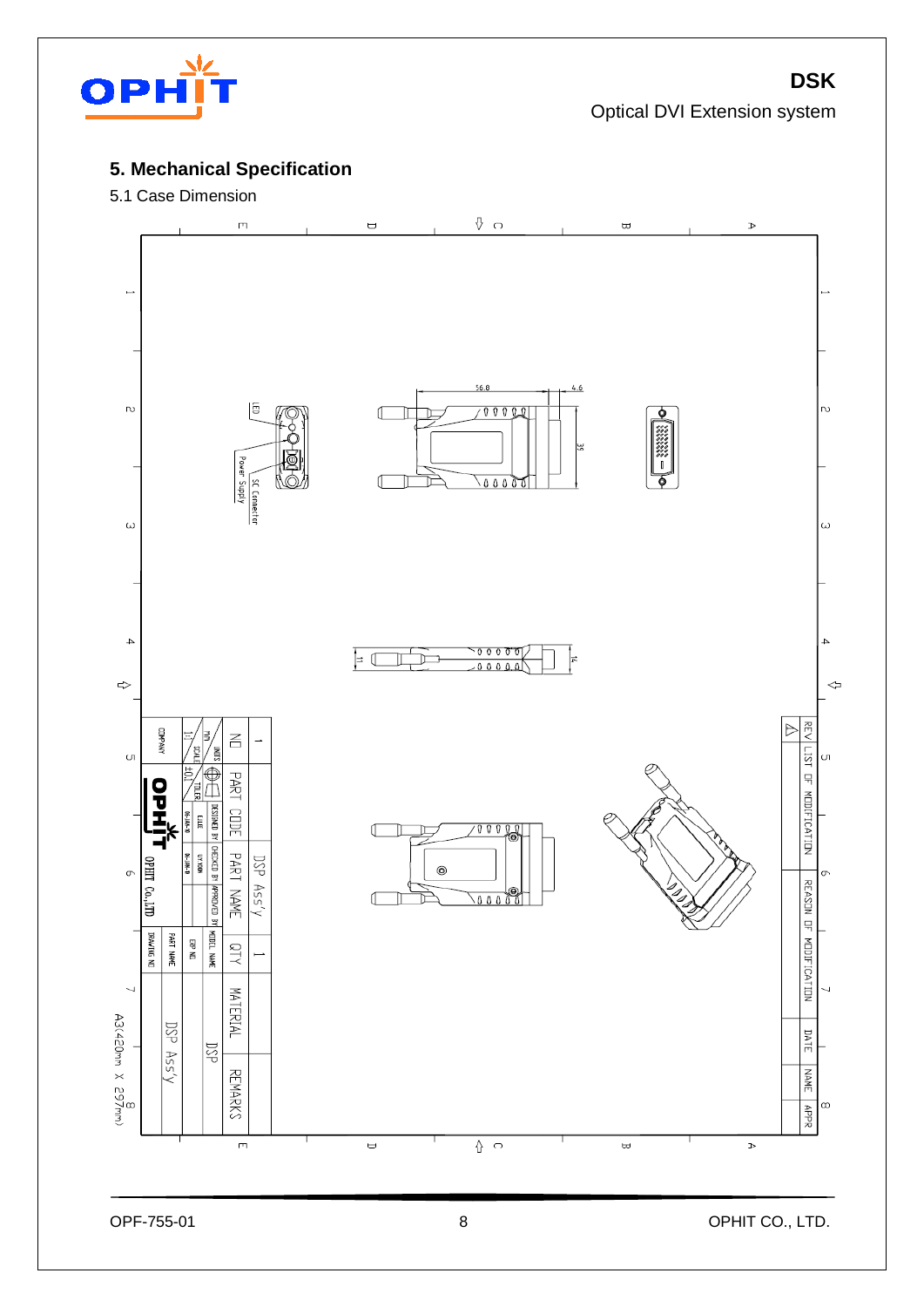

## Optical DVI Extension system

**DSK**

## **5. Mechanical Specification**

### 5.1 Case Dimension

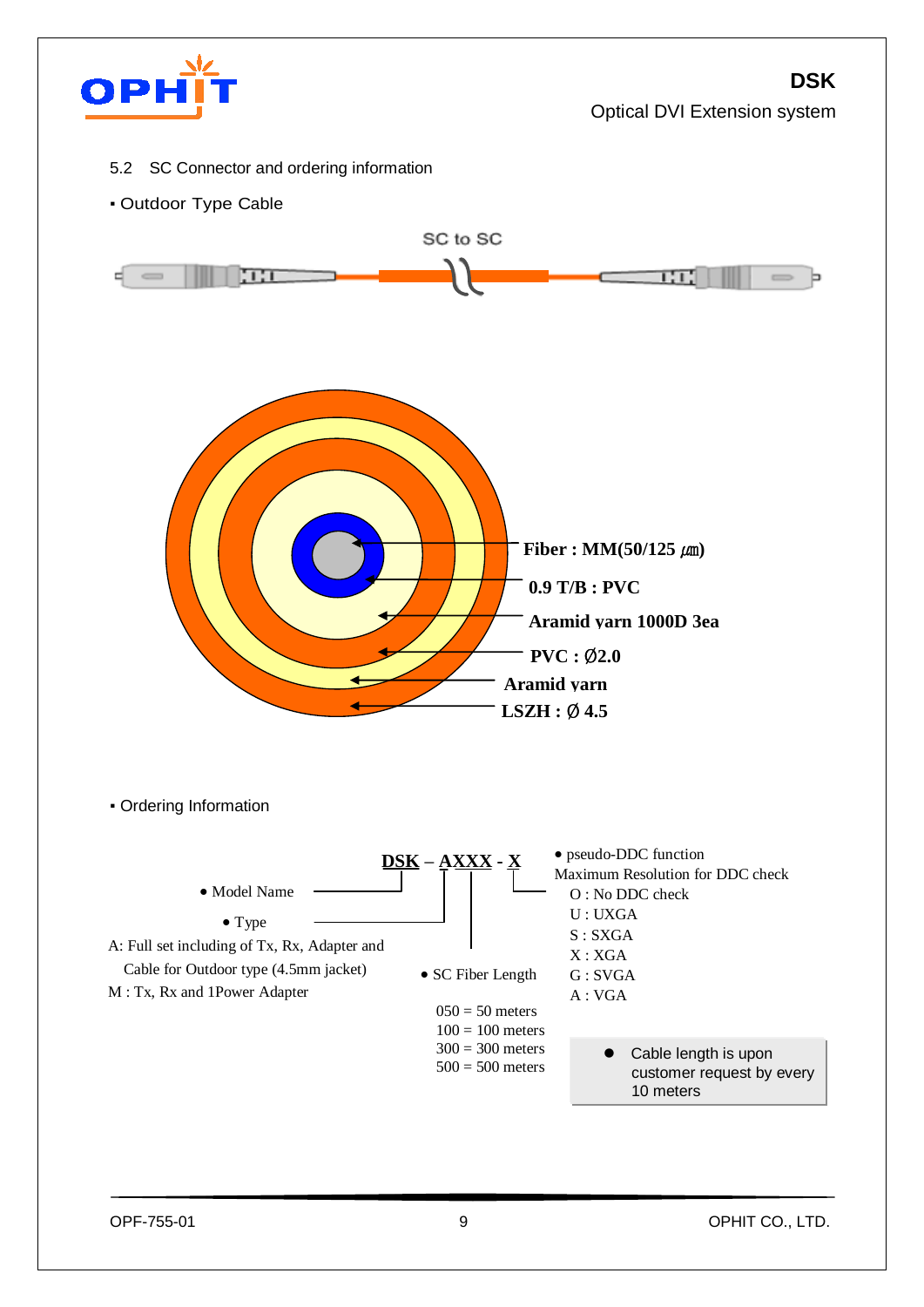

## **DSK**

Optical DVI Extension system

- 5.2 SC Connector and ordering information
- Outdoor Type Cable